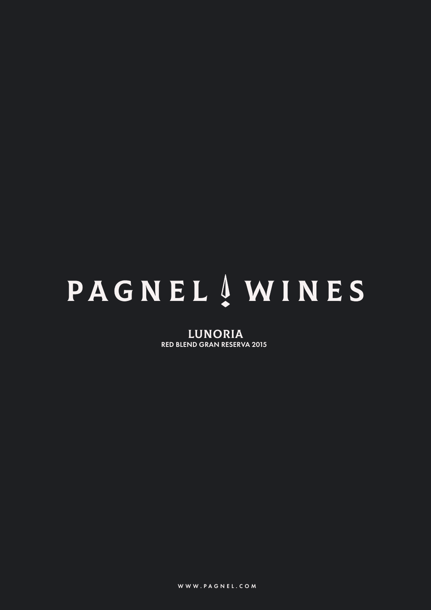# PAGNEL 4 WINES

LUNORIA RED BLEND GRAN RESERVA 2015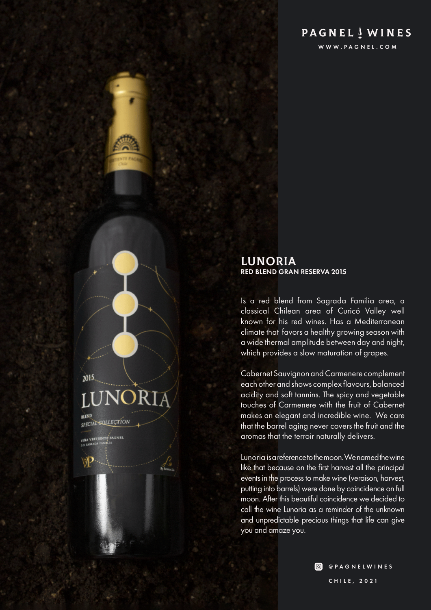# **PAGNEL** WINES

WWW.PAGNEL.COM

# 2015 SPECIAL SOLLECTION VISA VERTIENTP PAGNED

#### LUNORIA RED BLEND GRAN RESERVA 2015

Is a red blend from Sagrada Familia area, a classical Chilean area of Curicó Valley well known for his red wines. Has a Mediterranean climate that favors a healthy growing season with a wide thermal amplitude between day and night, which provides a slow maturation of grapes.

Cabernet Sauvignon and Carmenere complement each other and shows complex flavours, balanced acidity and soft tannins. The spicy and vegetable touches of Carmenere with the fruit of Cabernet makes an elegant and incredible wine. We care that the barrel aging never covers the fruit and the aromas that the terroir naturally delivers.

Lunoria is a reference to the moon. We named the wine like that because on the first harvest all the principal events in the process to make wine (veraison, harvest, putting into barrels) were done by coincidence on full moon. After this beautiful coincidence we decided to call the wine Lunoria as a reminder of the unknown and unpredictable precious things that life can give you and amaze you.

> **@** @PAGNELWINES CHILE, 2021